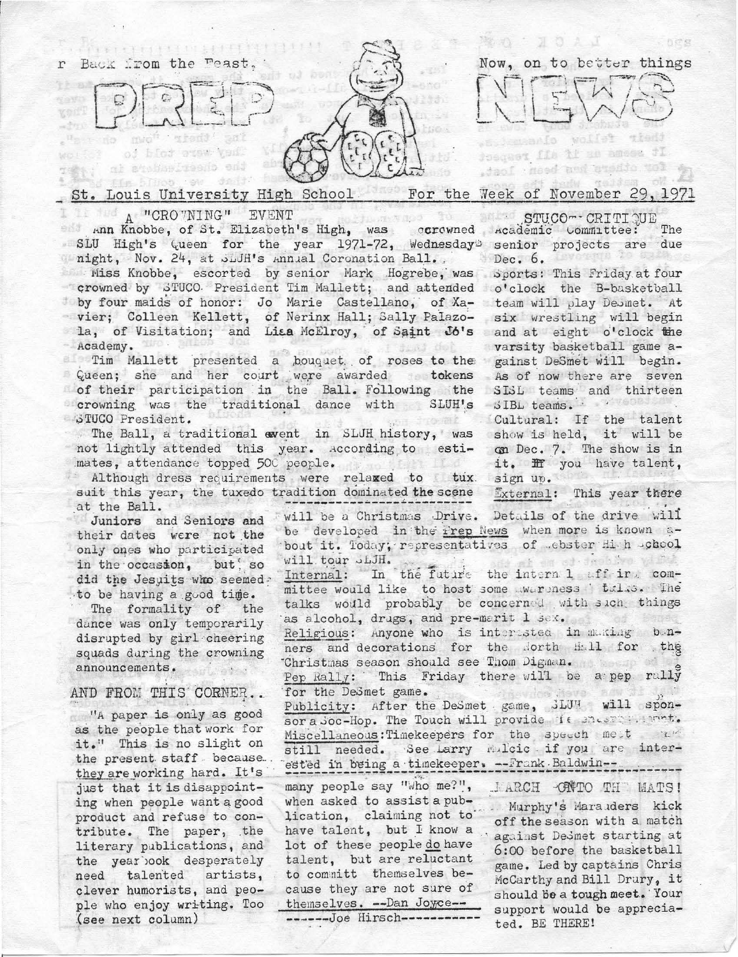

## Week of November 29, 1971 Louis University High School For the

I LET A "CROVNING" EVENT

A "CRO "NING" EVENT<br>
Ann Knobbe, of St. Elizabeth's High, was corowned Academic Committee: SLU High's Queen for the year 1971-72, Wednesday Senior projects are due might, Nov. 24, at Juli's Annual Coronation Ball.

Miss Knobbe, escorted by senior Mark Hogrebe, was Sports: This Friday at four crowned by STUCO. President Tim Mallett; and attended o'clock the B-basketball by four maids of honor: Jo Marie Castellano, of Xa- team will play Desmet. At - vier; Colleen Kellett, of Nerinx Hall; Sally Palazo- six wrestling will begin la, of Visitation; and Lia McElroy, of Saint Jo's and at eight o'clock the Academy.  $1$  dans  $1$  def

noademy.<br>In Mallett presented a bouquet of roses to the gainst DeSmet will begin. Queen; she and her court were awarded tokens As of now there are seven<br>of their participation in the Ball. Following the SISL teams and thirteen crowning was the traditional dance with SLUH's SIBL teams. STUCO President. on drormit

The Ball, a traditional event in SLUH history, was show is held, it will be not lightly attended this year. According to estimates, attendance topped 500 people.

Although dress requirements were relaxed to tux sign up. suit this year, the tuxedo tradition dominated the scene at the Ball.

Juniors and Seniors and their dates were not the only ones who participated in the occasion, but so did the Jesuits who seemed? to be having a good time.

The formality of the dance was only temporarily disrupted by girl cheering squads during the crowning announcements.

AND FROM THIS CORNER..

"A paper is only as good as the people that work for it." This is no slight on the present staff because. they are working hard. It's just that it is disappointing when people want a good product and refuse to contribute. The paper, the literary publications, and the year look desperately need talented artists, clever humorists, and people who enjoy writing. Too (see next column)

STUCO-CRITIQUE The  $Dec. 6.$ 

varsity basketball game a-

Cultural: If the talent on Dec. 7. The show is in it. If you have talent,

External: This year there

will be a Christmas Drive. Details of the drive will be developed in the Frep News when more is known about it. Today; representatives of .ebster Hi h .chool of an od-deablye withi will tour SLJH. In the future the intern 1 aff ir . com-Internal: mittee would like to host some wareness talas. The talks would probably be concerned with sich things as alcohol, drugs, and pre-marit 1 sex. af Mayse Religious: Anyone who is interested in making bonners and decorations for the North Hall for the "Christmas season should see Thom Digman. Pep Rally: This Friday there will be a pep rally for the DeSmet game. ARAVICE ROVE Publicity: After the DeSmet game, JLUH will sponsor a Soc-Hop. The Touch will provide it master. mont. Miscellaneous: Timekeepers for the speech met when still needed. See Larry Mulcic if you are interested in being a timekeeper. -- Frank Baldwin -many people say "Who me?", JARCH ONTO THE MATS! when asked to assist a pub-Murphy's Maraiders kick lication, claiming not to off the season with a match have talent, but I know a against DeSmet starting at lot of these people do have 6:00 before the basketball talent, but are reluctant game. Led by captains Chris to committ themselves be-McCarthy and Bill Drury, it cause they are not sure of

ted. BE THERE!

should be a tough meet. Your themselves. -- Dan Joyce -support would be apprecia-

-------Joe Hirsch-----------